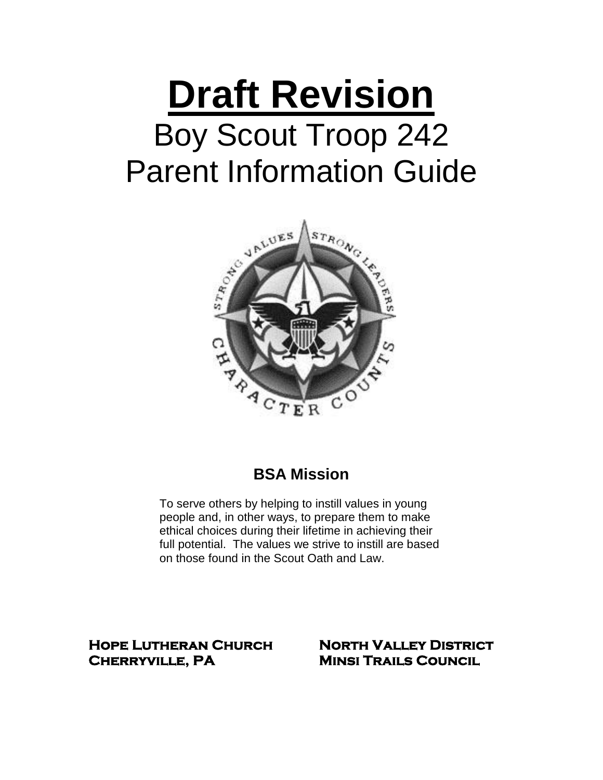# **Draft Revision** Boy Scout Troop 242 Parent Information Guide



# **BSA Mission**

To serve others by helping to instill values in young people and, in other ways, to prepare them to make ethical choices during their lifetime in achieving their full potential. The values we strive to instill are based on those found in the Scout Oath and Law.

**Hope Lutheran Church North Valley District Cherryville, PA Minsi Trails Council**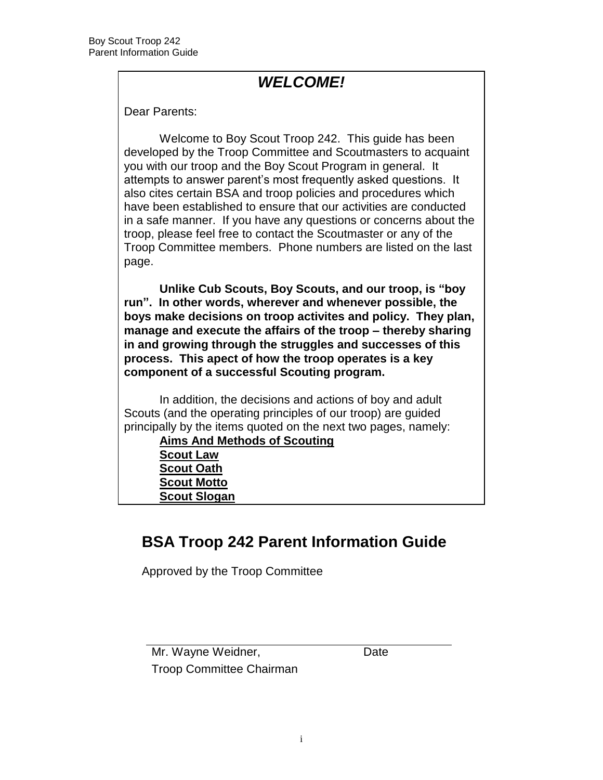# *WELCOME!*

Dear Parents:

Welcome to Boy Scout Troop 242. This guide has been developed by the Troop Committee and Scoutmasters to acquaint you with our troop and the Boy Scout Program in general. It attempts to answer parent's most frequently asked questions. It also cites certain BSA and troop policies and procedures which have been established to ensure that our activities are conducted in a safe manner. If you have any questions or concerns about the troop, please feel free to contact the Scoutmaster or any of the Troop Committee members. Phone numbers are listed on the last page.

**Unlike Cub Scouts, Boy Scouts, and our troop, is "boy run". In other words, wherever and whenever possible, the boys make decisions on troop activites and policy. They plan, manage and execute the affairs of the troop – thereby sharing in and growing through the struggles and successes of this process. This apect of how the troop operates is a key component of a successful Scouting program.**

In addition, the decisions and actions of boy and adult Scouts (and the operating principles of our troop) are guided principally by the items quoted on the next two pages, namely:

**Aims And Methods of Scouting Scout Law**

**Scout Oath Scout Motto**

**Scout Slogan**

# **BSA Troop 242 Parent Information Guide**

Approved by the Troop Committee

Mr. Wayne Weidner, **Date** Troop Committee Chairman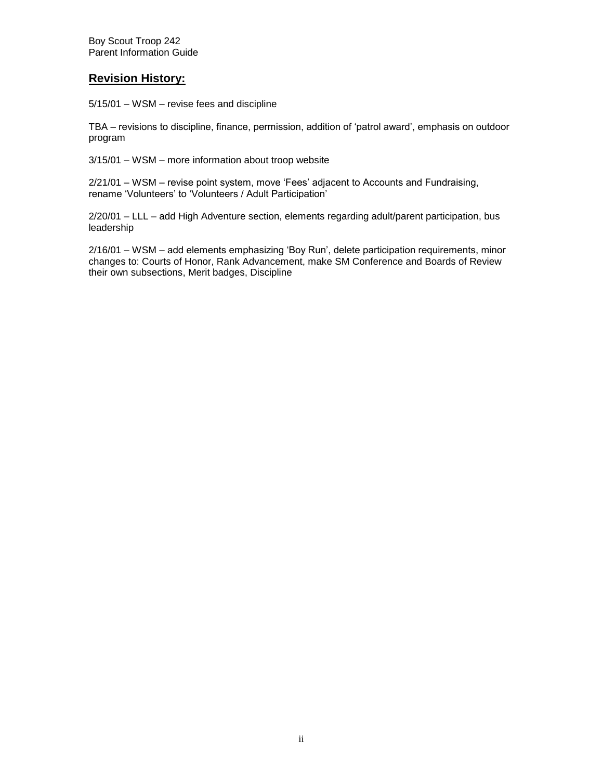#### **Revision History:**

5/15/01 – WSM – revise fees and discipline

TBA – revisions to discipline, finance, permission, addition of 'patrol award', emphasis on outdoor program

3/15/01 – WSM – more information about troop website

2/21/01 – WSM – revise point system, move 'Fees' adjacent to Accounts and Fundraising, rename 'Volunteers' to 'Volunteers / Adult Participation'

2/20/01 – LLL – add High Adventure section, elements regarding adult/parent participation, bus leadership

2/16/01 – WSM – add elements emphasizing 'Boy Run', delete participation requirements, minor changes to: Courts of Honor, Rank Advancement, make SM Conference and Boards of Review their own subsections, Merit badges, Discipline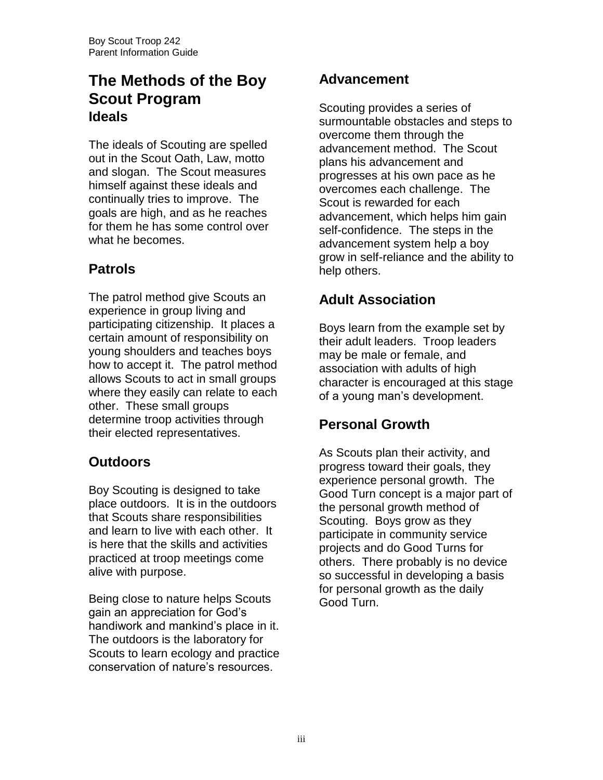# **The Methods of the Boy Scout Program Ideals**

The ideals of Scouting are spelled out in the Scout Oath, Law, motto and slogan. The Scout measures himself against these ideals and continually tries to improve. The goals are high, and as he reaches for them he has some control over what he becomes.

# **Patrols**

The patrol method give Scouts an experience in group living and participating citizenship. It places a certain amount of responsibility on young shoulders and teaches boys how to accept it. The patrol method allows Scouts to act in small groups where they easily can relate to each other. These small groups determine troop activities through their elected representatives.

# **Outdoors**

Boy Scouting is designed to take place outdoors. It is in the outdoors that Scouts share responsibilities and learn to live with each other. It is here that the skills and activities practiced at troop meetings come alive with purpose.

Being close to nature helps Scouts gain an appreciation for God's handiwork and mankind's place in it. The outdoors is the laboratory for Scouts to learn ecology and practice conservation of nature's resources.

## **Advancement**

Scouting provides a series of surmountable obstacles and steps to overcome them through the advancement method. The Scout plans his advancement and progresses at his own pace as he overcomes each challenge. The Scout is rewarded for each advancement, which helps him gain self-confidence. The steps in the advancement system help a boy grow in self-reliance and the ability to help others.

# **Adult Association**

Boys learn from the example set by their adult leaders. Troop leaders may be male or female, and association with adults of high character is encouraged at this stage of a young man's development.

## **Personal Growth**

As Scouts plan their activity, and progress toward their goals, they experience personal growth. The Good Turn concept is a major part of the personal growth method of Scouting. Boys grow as they participate in community service projects and do Good Turns for others. There probably is no device so successful in developing a basis for personal growth as the daily Good Turn.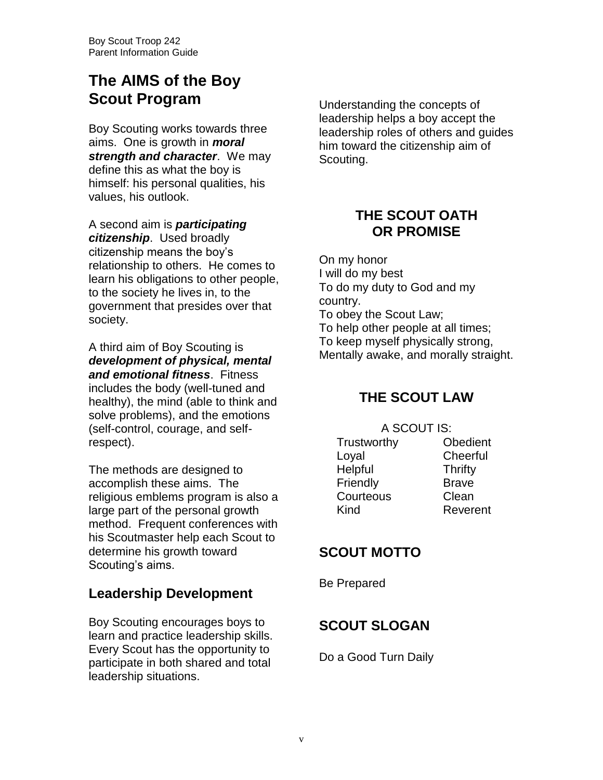# **The AIMS of the Boy Scout Program**

Boy Scouting works towards three aims. One is growth in *moral strength and character*. We may define this as what the boy is himself: his personal qualities, his values, his outlook.

A second aim is *participating citizenship*. Used broadly citizenship means the boy's relationship to others. He comes to learn his obligations to other people, to the society he lives in, to the government that presides over that society.

A third aim of Boy Scouting is *development of physical, mental and emotional fitness*. Fitness includes the body (well-tuned and healthy), the mind (able to think and solve problems), and the emotions (self-control, courage, and selfrespect).

The methods are designed to accomplish these aims. The religious emblems program is also a large part of the personal growth method. Frequent conferences with his Scoutmaster help each Scout to determine his growth toward Scouting's aims.

#### **Leadership Development**

Boy Scouting encourages boys to learn and practice leadership skills. Every Scout has the opportunity to participate in both shared and total leadership situations.

Understanding the concepts of leadership helps a boy accept the leadership roles of others and guides him toward the citizenship aim of Scouting.

## **THE SCOUT OATH OR PROMISE**

On my honor I will do my best To do my duty to God and my country. To obey the Scout Law; To help other people at all times; To keep myself physically strong, Mentally awake, and morally straight.

#### **THE SCOUT LAW**

A SCOUT IS:

Trustworthy Obedient Loyal Cheerful Helpful Thrifty Friendly Brave Courteous Clean Kind Reverent

#### **SCOUT MOTTO**

Be Prepared

## **SCOUT SLOGAN**

Do a Good Turn Daily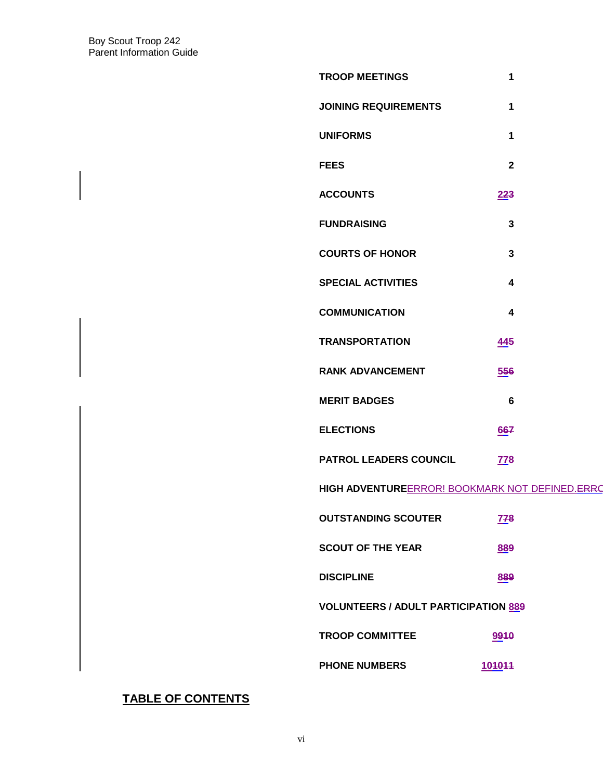| <b>TROOP MEETINGS</b>                          | 1                       |  |  |
|------------------------------------------------|-------------------------|--|--|
| <b>JOINING REQUIREMENTS</b>                    | 1                       |  |  |
| <b>UNIFORMS</b>                                | 1                       |  |  |
| <b>FEES</b>                                    | $\overline{2}$          |  |  |
| <b>ACCOUNTS</b>                                | 223                     |  |  |
| <b>FUNDRAISING</b>                             | $\mathbf{3}$            |  |  |
| <b>COURTS OF HONOR</b>                         | $\mathbf{3}$            |  |  |
| <b>SPECIAL ACTIVITIES</b>                      | $\overline{\mathbf{4}}$ |  |  |
| <b>COMMUNICATION</b>                           | $\overline{\mathbf{4}}$ |  |  |
| <b>TRANSPORTATION</b>                          | 445                     |  |  |
| <b>RANK ADVANCEMENT</b>                        | 556                     |  |  |
| <b>MERIT BADGES</b>                            | $6\phantom{1}$          |  |  |
| <b>ELECTIONS</b>                               | 667                     |  |  |
| <b>PATROL LEADERS COUNCIL</b>                  | <b>778</b>              |  |  |
| HIGH ADVENTUREERROR! BOOKMARK NOT DEFINED.ERRC |                         |  |  |
| <b>OUTSTANDING SCOUTER</b>                     | <b>778</b>              |  |  |
| <b>SCOUT OF THE YEAR</b>                       | 889                     |  |  |
| <b>DISCIPLINE</b>                              | 889                     |  |  |
| <b>VOLUNTEERS / ADULT PARTICIPATION 889</b>    |                         |  |  |
| <b>TROOP COMMITTEE</b>                         | 9910                    |  |  |
| <b>PHONE NUMBERS</b>                           | 104044                  |  |  |
|                                                |                         |  |  |

#### **TABLE OF CONTENTS**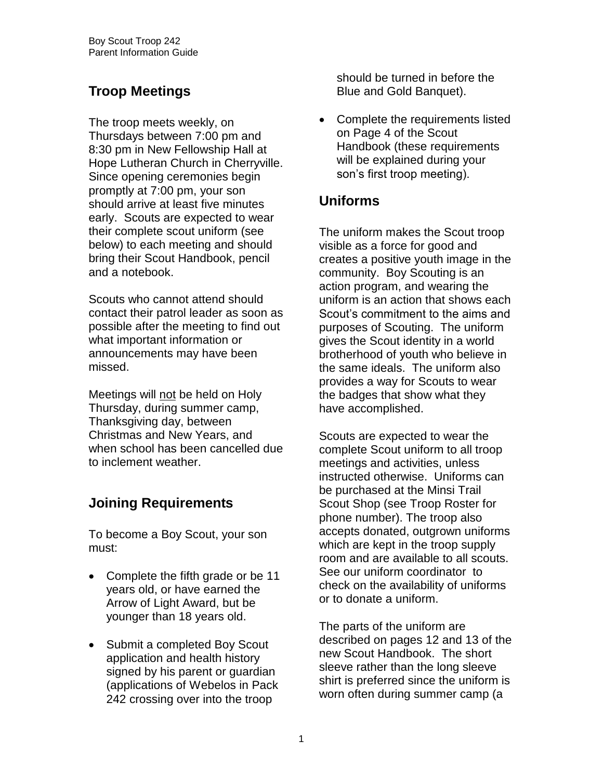# **Troop Meetings**

The troop meets weekly, on Thursdays between 7:00 pm and 8:30 pm in New Fellowship Hall at Hope Lutheran Church in Cherryville. Since opening ceremonies begin promptly at 7:00 pm, your son should arrive at least five minutes early. Scouts are expected to wear their complete scout uniform (see below) to each meeting and should bring their Scout Handbook, pencil and a notebook.

Scouts who cannot attend should contact their patrol leader as soon as possible after the meeting to find out what important information or announcements may have been missed.

Meetings will not be held on Holy Thursday, during summer camp, Thanksgiving day, between Christmas and New Years, and when school has been cancelled due to inclement weather.

# **Joining Requirements**

To become a Boy Scout, your son must:

- Complete the fifth grade or be 11 years old, or have earned the Arrow of Light Award, but be younger than 18 years old.
- Submit a completed Boy Scout application and health history signed by his parent or guardian (applications of Webelos in Pack 242 crossing over into the troop

should be turned in before the Blue and Gold Banquet).

• Complete the requirements listed on Page 4 of the Scout Handbook (these requirements will be explained during your son's first troop meeting).

## **Uniforms**

The uniform makes the Scout troop visible as a force for good and creates a positive youth image in the community. Boy Scouting is an action program, and wearing the uniform is an action that shows each Scout's commitment to the aims and purposes of Scouting. The uniform gives the Scout identity in a world brotherhood of youth who believe in the same ideals. The uniform also provides a way for Scouts to wear the badges that show what they have accomplished.

Scouts are expected to wear the complete Scout uniform to all troop meetings and activities, unless instructed otherwise. Uniforms can be purchased at the Minsi Trail Scout Shop (see Troop Roster for phone number). The troop also accepts donated, outgrown uniforms which are kept in the troop supply room and are available to all scouts. See our uniform coordinator to check on the availability of uniforms or to donate a uniform.

The parts of the uniform are described on pages 12 and 13 of the new Scout Handbook. The short sleeve rather than the long sleeve shirt is preferred since the uniform is worn often during summer camp (a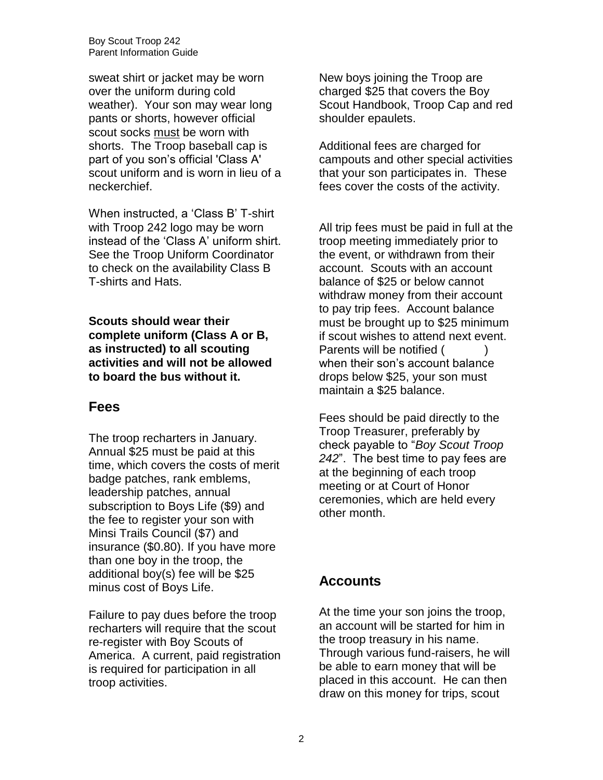sweat shirt or jacket may be worn over the uniform during cold weather). Your son may wear long pants or shorts, however official scout socks must be worn with shorts. The Troop baseball cap is part of you son's official 'Class A' scout uniform and is worn in lieu of a neckerchief.

When instructed, a 'Class B' T-shirt with Troop 242 logo may be worn instead of the 'Class A' uniform shirt. See the Troop Uniform Coordinator to check on the availability Class B T-shirts and Hats.

**Scouts should wear their complete uniform (Class A or B, as instructed) to all scouting activities and will not be allowed to board the bus without it.**

#### **Fees**

The troop recharters in January. Annual \$25 must be paid at this time, which covers the costs of merit badge patches, rank emblems, leadership patches, annual subscription to Boys Life (\$9) and the fee to register your son with Minsi Trails Council (\$7) and insurance (\$0.80). If you have more than one boy in the troop, the additional boy(s) fee will be \$25 minus cost of Boys Life.

Failure to pay dues before the troop recharters will require that the scout re-register with Boy Scouts of America. A current, paid registration is required for participation in all troop activities.

New boys joining the Troop are charged \$25 that covers the Boy Scout Handbook, Troop Cap and red shoulder epaulets.

Additional fees are charged for campouts and other special activities that your son participates in. These fees cover the costs of the activity.

All trip fees must be paid in full at the troop meeting immediately prior to the event, or withdrawn from their account. Scouts with an account balance of \$25 or below cannot withdraw money from their account to pay trip fees. Account balance must be brought up to \$25 minimum if scout wishes to attend next event. Parents will be notified () when their son's account balance drops below \$25, your son must maintain a \$25 balance.

Fees should be paid directly to the Troop Treasurer, preferably by check payable to "*Boy Scout Troop 242*". The best time to pay fees are at the beginning of each troop meeting or at Court of Honor ceremonies, which are held every other month.

#### **Accounts**

At the time your son joins the troop, an account will be started for him in the troop treasury in his name. Through various fund-raisers, he will be able to earn money that will be placed in this account. He can then draw on this money for trips, scout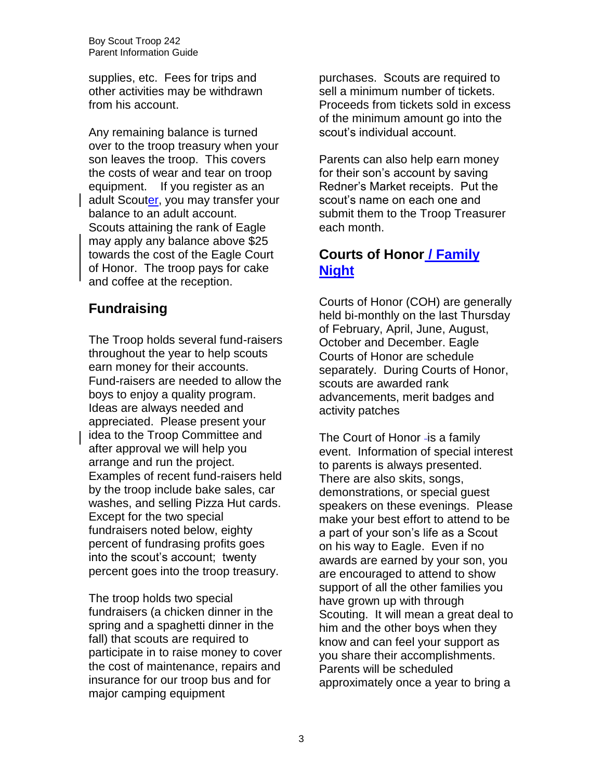supplies, etc. Fees for trips and other activities may be withdrawn from his account.

Any remaining balance is turned over to the troop treasury when your son leaves the troop. This covers the costs of wear and tear on troop equipment. If you register as an adult Scouter, you may transfer your balance to an adult account. Scouts attaining the rank of Eagle may apply any balance above \$25 towards the cost of the Eagle Court of Honor. The troop pays for cake and coffee at the reception.

## **Fundraising**

The Troop holds several fund-raisers throughout the year to help scouts earn money for their accounts. Fund-raisers are needed to allow the boys to enjoy a quality program. Ideas are always needed and appreciated. Please present your idea to the Troop Committee and after approval we will help you arrange and run the project. Examples of recent fund-raisers held by the troop include bake sales, car washes, and selling Pizza Hut cards. Except for the two special fundraisers noted below, eighty percent of fundrasing profits goes into the scout's account; twenty percent goes into the troop treasury.

The troop holds two special fundraisers (a chicken dinner in the spring and a spaghetti dinner in the fall) that scouts are required to participate in to raise money to cover the cost of maintenance, repairs and insurance for our troop bus and for major camping equipment

purchases. Scouts are required to sell a minimum number of tickets. Proceeds from tickets sold in excess of the minimum amount go into the scout's individual account.

Parents can also help earn money for their son's account by saving Redner's Market receipts. Put the scout's name on each one and submit them to the Troop Treasurer each month.

#### **Courts of Honor / Family Night**

Courts of Honor (COH) are generally held bi-monthly on the last Thursday of February, April, June, August, October and December. Eagle Courts of Honor are schedule separately. During Courts of Honor, scouts are awarded rank advancements, merit badges and activity patches

The Court of Honor - is a family event. Information of special interest to parents is always presented. There are also skits, songs, demonstrations, or special guest speakers on these evenings. Please make your best effort to attend to be a part of your son's life as a Scout on his way to Eagle. Even if no awards are earned by your son, you are encouraged to attend to show support of all the other families you have grown up with through Scouting. It will mean a great deal to him and the other boys when they know and can feel your support as you share their accomplishments. Parents will be scheduled approximately once a year to bring a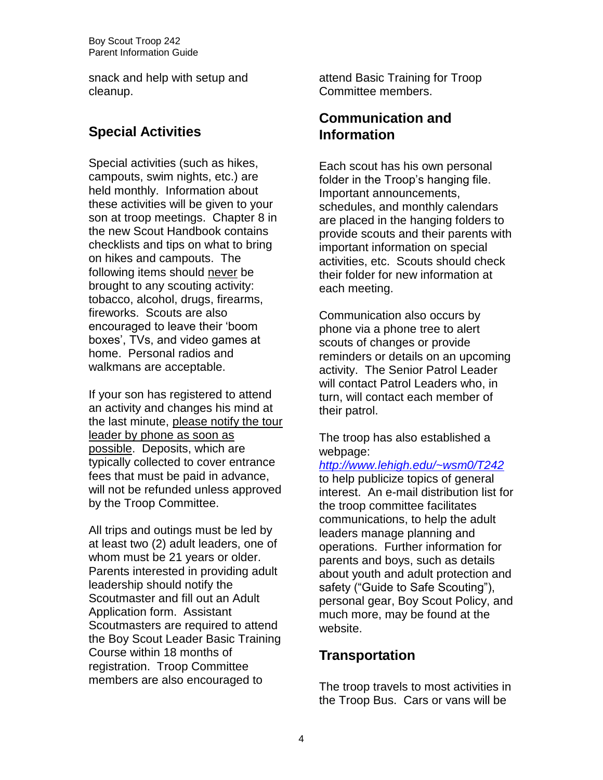snack and help with setup and cleanup.

## **Special Activities**

Special activities (such as hikes, campouts, swim nights, etc.) are held monthly. Information about these activities will be given to your son at troop meetings. Chapter 8 in the new Scout Handbook contains checklists and tips on what to bring on hikes and campouts. The following items should never be brought to any scouting activity: tobacco, alcohol, drugs, firearms, fireworks. Scouts are also encouraged to leave their 'boom boxes', TVs, and video games at home. Personal radios and walkmans are acceptable.

If your son has registered to attend an activity and changes his mind at the last minute, please notify the tour leader by phone as soon as possible. Deposits, which are typically collected to cover entrance fees that must be paid in advance, will not be refunded unless approved by the Troop Committee.

All trips and outings must be led by at least two (2) adult leaders, one of whom must be 21 years or older. Parents interested in providing adult leadership should notify the Scoutmaster and fill out an Adult Application form. Assistant Scoutmasters are required to attend the Boy Scout Leader Basic Training Course within 18 months of registration. Troop Committee members are also encouraged to

attend Basic Training for Troop Committee members.

#### **Communication and Information**

Each scout has his own personal folder in the Troop's hanging file. Important announcements, schedules, and monthly calendars are placed in the hanging folders to provide scouts and their parents with important information on special activities, etc. Scouts should check their folder for new information at each meeting.

Communication also occurs by phone via a phone tree to alert scouts of changes or provide reminders or details on an upcoming activity. The Senior Patrol Leader will contact Patrol Leaders who, in turn, will contact each member of their patrol.

The troop has also established a webpage:

*<http://www.lehigh.edu/~wsm0/T242>* to help publicize topics of general interest. An e-mail distribution list for the troop committee facilitates communications, to help the adult leaders manage planning and operations. Further information for parents and boys, such as details about youth and adult protection and safety ("Guide to Safe Scouting"), personal gear, Boy Scout Policy, and much more, may be found at the website.

#### **Transportation**

The troop travels to most activities in the Troop Bus. Cars or vans will be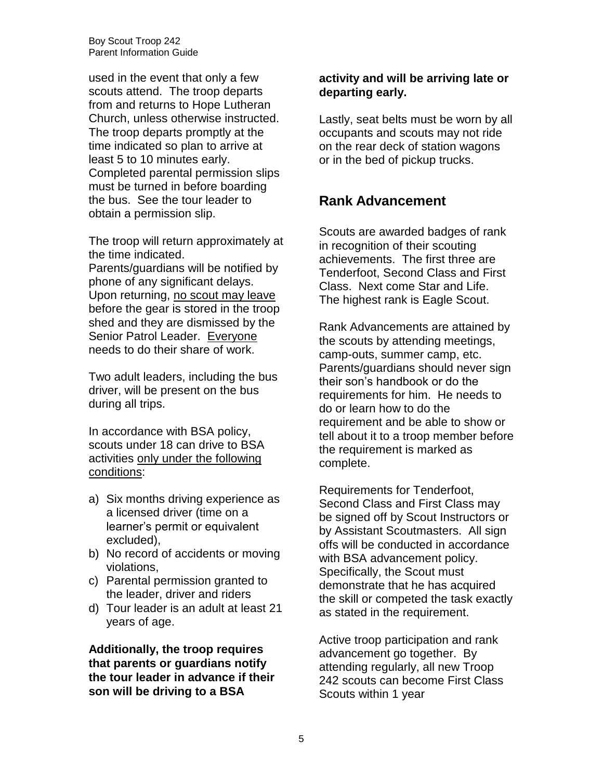used in the event that only a few scouts attend. The troop departs from and returns to Hope Lutheran Church, unless otherwise instructed. The troop departs promptly at the time indicated so plan to arrive at least 5 to 10 minutes early. Completed parental permission slips must be turned in before boarding the bus. See the tour leader to obtain a permission slip.

The troop will return approximately at the time indicated.

Parents/guardians will be notified by phone of any significant delays. Upon returning, no scout may leave before the gear is stored in the troop shed and they are dismissed by the Senior Patrol Leader. Everyone needs to do their share of work.

Two adult leaders, including the bus driver, will be present on the bus during all trips.

In accordance with BSA policy, scouts under 18 can drive to BSA activities only under the following conditions:

- a) Six months driving experience as a licensed driver (time on a learner's permit or equivalent excluded),
- b) No record of accidents or moving violations,
- c) Parental permission granted to the leader, driver and riders
- d) Tour leader is an adult at least 21 years of age.

**Additionally, the troop requires that parents or guardians notify the tour leader in advance if their son will be driving to a BSA** 

#### **activity and will be arriving late or departing early.**

Lastly, seat belts must be worn by all occupants and scouts may not ride on the rear deck of station wagons or in the bed of pickup trucks.

#### **Rank Advancement**

Scouts are awarded badges of rank in recognition of their scouting achievements. The first three are Tenderfoot, Second Class and First Class. Next come Star and Life. The highest rank is Eagle Scout.

Rank Advancements are attained by the scouts by attending meetings, camp-outs, summer camp, etc. Parents/guardians should never sign their son's handbook or do the requirements for him. He needs to do or learn how to do the requirement and be able to show or tell about it to a troop member before the requirement is marked as complete.

Requirements for Tenderfoot, Second Class and First Class may be signed off by Scout Instructors or by Assistant Scoutmasters. All sign offs will be conducted in accordance with BSA advancement policy. Specifically, the Scout must demonstrate that he has acquired the skill or competed the task exactly as stated in the requirement.

Active troop participation and rank advancement go together. By attending regularly, all new Troop 242 scouts can become First Class Scouts within 1 year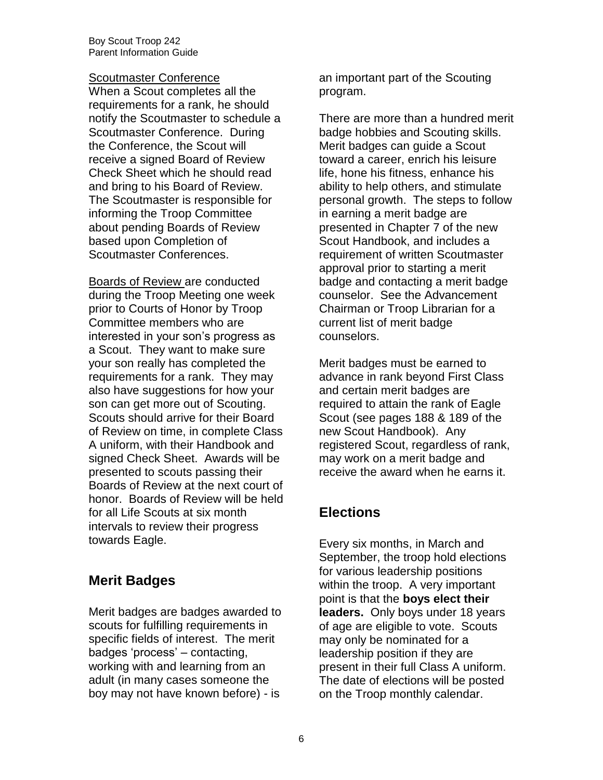#### **Scoutmaster Conference**

When a Scout completes all the requirements for a rank, he should notify the Scoutmaster to schedule a Scoutmaster Conference. During the Conference, the Scout will receive a signed Board of Review Check Sheet which he should read and bring to his Board of Review. The Scoutmaster is responsible for informing the Troop Committee about pending Boards of Review based upon Completion of Scoutmaster Conferences.

Boards of Review are conducted during the Troop Meeting one week prior to Courts of Honor by Troop Committee members who are interested in your son's progress as a Scout. They want to make sure your son really has completed the requirements for a rank. They may also have suggestions for how your son can get more out of Scouting. Scouts should arrive for their Board of Review on time, in complete Class A uniform, with their Handbook and signed Check Sheet. Awards will be presented to scouts passing their Boards of Review at the next court of honor. Boards of Review will be held for all Life Scouts at six month intervals to review their progress towards Eagle.

## **Merit Badges**

Merit badges are badges awarded to scouts for fulfilling requirements in specific fields of interest. The merit badges 'process' – contacting, working with and learning from an adult (in many cases someone the boy may not have known before) - is

an important part of the Scouting program.

There are more than a hundred merit badge hobbies and Scouting skills. Merit badges can guide a Scout toward a career, enrich his leisure life, hone his fitness, enhance his ability to help others, and stimulate personal growth. The steps to follow in earning a merit badge are presented in Chapter 7 of the new Scout Handbook, and includes a requirement of written Scoutmaster approval prior to starting a merit badge and contacting a merit badge counselor. See the Advancement Chairman or Troop Librarian for a current list of merit badge counselors.

Merit badges must be earned to advance in rank beyond First Class and certain merit badges are required to attain the rank of Eagle Scout (see pages 188 & 189 of the new Scout Handbook). Any registered Scout, regardless of rank, may work on a merit badge and receive the award when he earns it.

## **Elections**

Every six months, in March and September, the troop hold elections for various leadership positions within the troop. A very important point is that the **boys elect their leaders.** Only boys under 18 years of age are eligible to vote. Scouts may only be nominated for a leadership position if they are present in their full Class A uniform. The date of elections will be posted on the Troop monthly calendar.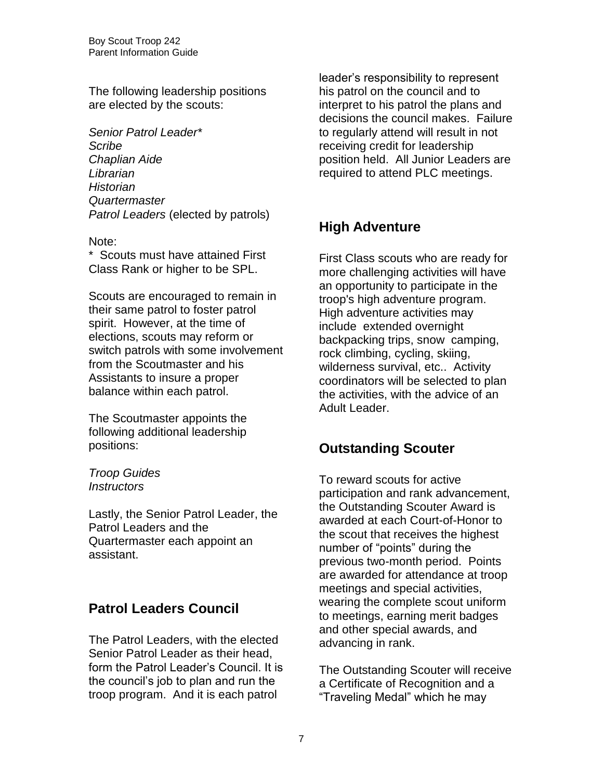The following leadership positions are elected by the scouts:

*Senior Patrol Leader\* Scribe Chaplian Aide Librarian Historian Quartermaster Patrol Leaders* (elected by patrols)

#### Note:

\* Scouts must have attained First Class Rank or higher to be SPL.

Scouts are encouraged to remain in their same patrol to foster patrol spirit. However, at the time of elections, scouts may reform or switch patrols with some involvement from the Scoutmaster and his Assistants to insure a proper balance within each patrol.

The Scoutmaster appoints the following additional leadership positions:

*Troop Guides Instructors*

Lastly, the Senior Patrol Leader, the Patrol Leaders and the Quartermaster each appoint an assistant.

## **Patrol Leaders Council**

The Patrol Leaders, with the elected Senior Patrol Leader as their head, form the Patrol Leader's Council. It is the council's job to plan and run the troop program. And it is each patrol

leader's responsibility to represent his patrol on the council and to interpret to his patrol the plans and decisions the council makes. Failure to regularly attend will result in not receiving credit for leadership position held. All Junior Leaders are required to attend PLC meetings.

## **High Adventure**

First Class scouts who are ready for more challenging activities will have an opportunity to participate in the troop's high adventure program. High adventure activities may include extended overnight backpacking trips, snow camping, rock climbing, cycling, skiing, wilderness survival, etc.. Activity coordinators will be selected to plan the activities, with the advice of an Adult Leader.

#### **Outstanding Scouter**

To reward scouts for active participation and rank advancement, the Outstanding Scouter Award is awarded at each Court-of-Honor to the scout that receives the highest number of "points" during the previous two-month period. Points are awarded for attendance at troop meetings and special activities, wearing the complete scout uniform to meetings, earning merit badges and other special awards, and advancing in rank.

The Outstanding Scouter will receive a Certificate of Recognition and a "Traveling Medal" which he may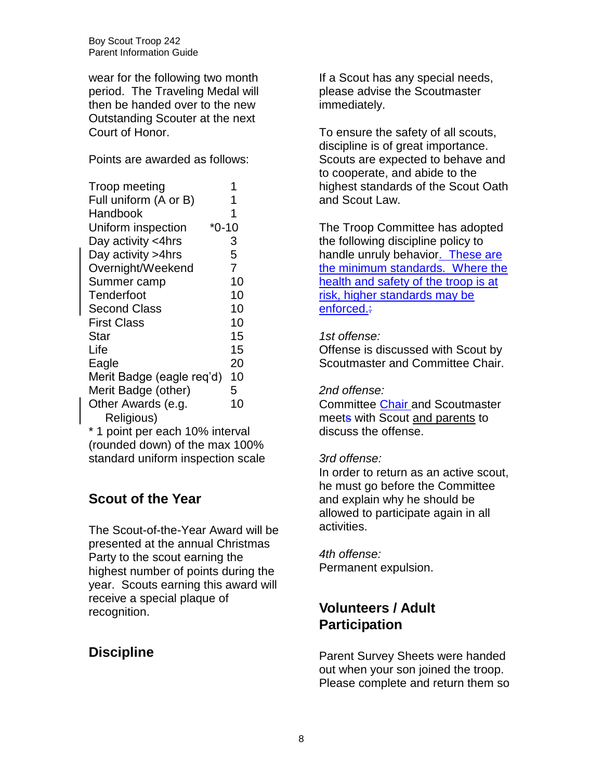wear for the following two month period. The Traveling Medal will then be handed over to the new Outstanding Scouter at the next Court of Honor.

Points are awarded as follows:

| Troop meeting             |         |
|---------------------------|---------|
| Full uniform (A or B)     |         |
| Handbook                  | 1       |
| Uniform inspection        | $*0-10$ |
| Day activity <4hrs        | 3       |
| Day activity > 4hrs       | 5       |
| Overnight/Weekend         | 7       |
| Summer camp               | 10      |
| Tenderfoot                | 10      |
| <b>Second Class</b>       | 10      |
| <b>First Class</b>        | 10      |
| Star                      | 15      |
| Life                      | 15      |
| Eagle                     | 20      |
| Merit Badge (eagle req'd) | 10      |
| Merit Badge (other)       | 5       |
| Other Awards (e.g.        | 10      |
| Religious)                |         |

\* 1 point per each 10% interval (rounded down) of the max 100% standard uniform inspection scale

# **Scout of the Year**

The Scout-of-the-Year Award will be presented at the annual Christmas Party to the scout earning the highest number of points during the year. Scouts earning this award will receive a special plaque of recognition.

# **Discipline**

If a Scout has any special needs, please advise the Scoutmaster immediately.

To ensure the safety of all scouts, discipline is of great importance. Scouts are expected to behave and to cooperate, and abide to the highest standards of the Scout Oath and Scout Law.

The Troop Committee has adopted the following discipline policy to handle unruly behavior. These are the minimum standards. Where the health and safety of the troop is at risk, higher standards may be enforced.:

#### *1st offense:*

Offense is discussed with Scout by Scoutmaster and Committee Chair.

#### *2nd offense:*

Committee Chair and Scoutmaster meets with Scout and parents to discuss the offense.

#### *3rd offense:*

In order to return as an active scout, he must go before the Committee and explain why he should be allowed to participate again in all activities.

*4th offense:* Permanent expulsion.

## **Volunteers / Adult Participation**

Parent Survey Sheets were handed out when your son joined the troop. Please complete and return them so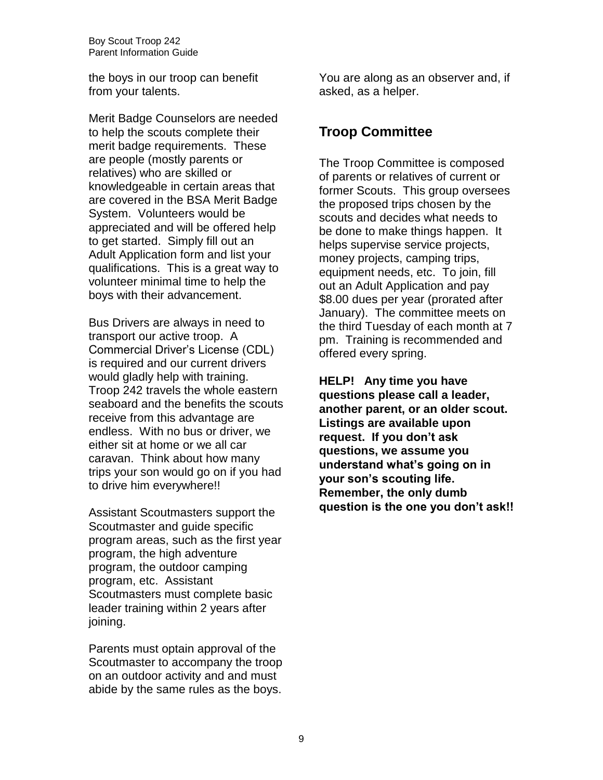the boys in our troop can benefit from your talents.

Merit Badge Counselors are needed to help the scouts complete their merit badge requirements. These are people (mostly parents or relatives) who are skilled or knowledgeable in certain areas that are covered in the BSA Merit Badge System. Volunteers would be appreciated and will be offered help to get started. Simply fill out an Adult Application form and list your qualifications. This is a great way to volunteer minimal time to help the boys with their advancement.

Bus Drivers are always in need to transport our active troop. A Commercial Driver's License (CDL) is required and our current drivers would gladly help with training. Troop 242 travels the whole eastern seaboard and the benefits the scouts receive from this advantage are endless. With no bus or driver, we either sit at home or we all car caravan. Think about how many trips your son would go on if you had to drive him everywhere!!

Assistant Scoutmasters support the Scoutmaster and guide specific program areas, such as the first year program, the high adventure program, the outdoor camping program, etc. Assistant Scoutmasters must complete basic leader training within 2 years after joining.

Parents must optain approval of the Scoutmaster to accompany the troop on an outdoor activity and and must abide by the same rules as the boys.

You are along as an observer and, if asked, as a helper.

## **Troop Committee**

The Troop Committee is composed of parents or relatives of current or former Scouts. This group oversees the proposed trips chosen by the scouts and decides what needs to be done to make things happen. It helps supervise service projects, money projects, camping trips, equipment needs, etc. To join, fill out an Adult Application and pay \$8.00 dues per year (prorated after January). The committee meets on the third Tuesday of each month at 7 pm. Training is recommended and offered every spring.

**HELP! Any time you have questions please call a leader, another parent, or an older scout. Listings are available upon request. If you don't ask questions, we assume you understand what's going on in your son's scouting life. Remember, the only dumb question is the one you don't ask!!**